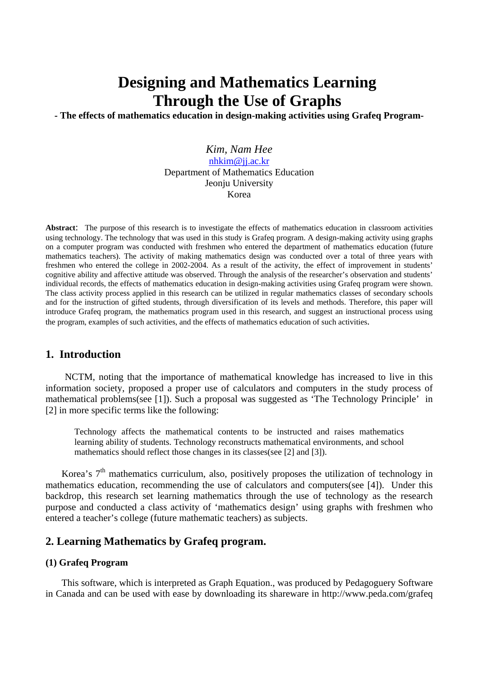# **Designing and Mathematics Learning Through the Use of Graphs**

**- The effects of mathematics education in design-making activities using Grafeq Program-**

*Kim, Nam Hee*  nhkim@jj.ac.kr Department of Mathematics Education Jeonju University Korea

**Abstract**: The purpose of this research is to investigate the effects of mathematics education in classroom activities using technology. The technology that was used in this study is Grafeq program. A design-making activity using graphs on a computer program was conducted with freshmen who entered the department of mathematics education (future mathematics teachers). The activity of making mathematics design was conducted over a total of three years with freshmen who entered the college in 2002-2004. As a result of the activity, the effect of improvement in students' cognitive ability and affective attitude was observed. Through the analysis of the researcher's observation and students' individual records, the effects of mathematics education in design-making activities using Grafeq program were shown. The class activity process applied in this research can be utilized in regular mathematics classes of secondary schools and for the instruction of gifted students, through diversification of its levels and methods. Therefore, this paper will introduce Grafeq program, the mathematics program used in this research, and suggest an instructional process using the program, examples of such activities, and the effects of mathematics education of such activities.

## **1. Introduction**

NCTM, noting that the importance of mathematical knowledge has increased to live in this information society, proposed a proper use of calculators and computers in the study process of mathematical problems(see [1]). Such a proposal was suggested as 'The Technology Principle' in [2] in more specific terms like the following:

Technology affects the mathematical contents to be instructed and raises mathematics learning ability of students. Technology reconstructs mathematical environments, and school mathematics should reflect those changes in its classes(see [2] and [3]).

Korea's  $7<sup>th</sup>$  mathematics curriculum, also, positively proposes the utilization of technology in mathematics education, recommending the use of calculators and computers(see [4]). Under this backdrop, this research set learning mathematics through the use of technology as the research purpose and conducted a class activity of 'mathematics design' using graphs with freshmen who entered a teacher's college (future mathematic teachers) as subjects.

## **2. Learning Mathematics by Grafeq program.**

#### **(1) Grafeq Program**

This software, which is interpreted as Graph Equation., was produced by Pedagoguery Software in Canada and can be used with ease by downloading its shareware in http://www.peda.com/grafeq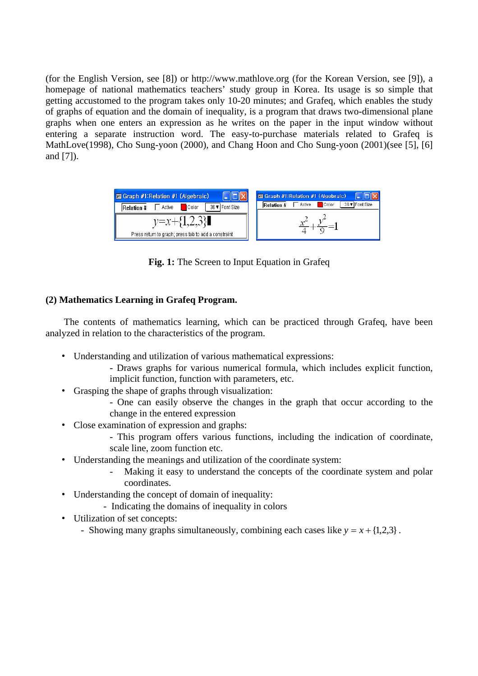(for the English Version, see [8]) or http://www.mathlove.org (for the Korean Version, see [9]), a homepage of national mathematics teachers' study group in Korea. Its usage is so simple that getting accustomed to the program takes only 10-20 minutes; and Grafeq, which enables the study of graphs of equation and the domain of inequality, is a program that draws two-dimensional plane graphs when one enters an expression as he writes on the paper in the input window without entering a separate instruction word. The easy-to-purchase materials related to Grafeq is MathLove(1998), Cho Sung-yoon (2000), and Chang Hoon and Cho Sung-yoon (2001)(see [5], [6] and [7]).

| <b>E Graph #1: Relation #1 (Algebraic)</b>                              | Graph #1: Relation #1 (Algebraic)                             |  |
|-------------------------------------------------------------------------|---------------------------------------------------------------|--|
| 36 ▼ Font Size<br><b>□</b> Active<br>Color<br>Relation #                | 36 ▼ Font Size<br>Active<br><b>Color</b><br><b>Relation #</b> |  |
| $y=x+\{1,2,3\}$<br>Press return to graph; press tab to add a constraint |                                                               |  |

**Fig. 1:** The Screen to Input Equation in Grafeq

## **(2) Mathematics Learning in Grafeq Program.**

 The contents of mathematics learning, which can be practiced through Grafeq, have been analyzed in relation to the characteristics of the program.

- Understanding and utilization of various mathematical expressions:
	- Draws graphs for various numerical formula, which includes explicit function, implicit function, function with parameters, etc.
- Grasping the shape of graphs through visualization:
	- One can easily observe the changes in the graph that occur according to the change in the entered expression
- Close examination of expression and graphs:
	- This program offers various functions, including the indication of coordinate, scale line, zoom function etc.
- Understanding the meanings and utilization of the coordinate system:
	- Making it easy to understand the concepts of the coordinate system and polar coordinates.
- Understanding the concept of domain of inequality:
	- Indicating the domains of inequality in colors
- Utilization of set concepts:
	- Showing many graphs simultaneously, combining each cases like  $y = x + \{1,2,3\}$ .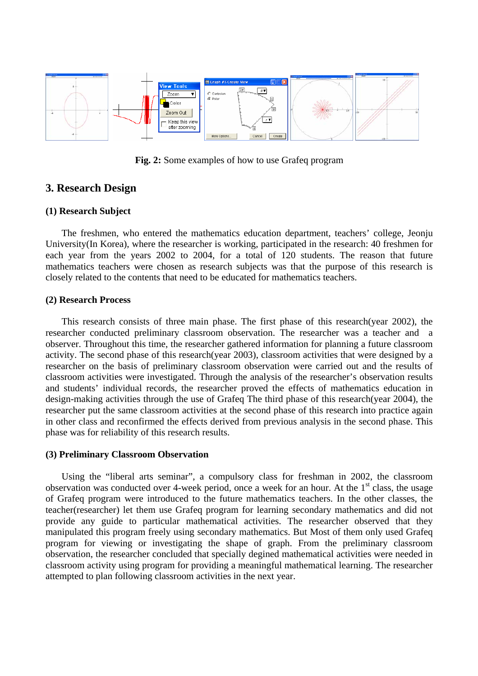

**Fig. 2:** Some examples of how to use Grafeq program

## **3. Research Design**

#### **(1) Research Subject**

The freshmen, who entered the mathematics education department, teachers' college, Jeonju University(In Korea), where the researcher is working, participated in the research: 40 freshmen for each year from the years 2002 to 2004, for a total of 120 students. The reason that future mathematics teachers were chosen as research subjects was that the purpose of this research is closely related to the contents that need to be educated for mathematics teachers.

#### **(2) Research Process**

This research consists of three main phase. The first phase of this research(year 2002), the researcher conducted preliminary classroom observation. The researcher was a teacher and a observer. Throughout this time, the researcher gathered information for planning a future classroom activity. The second phase of this research(year 2003), classroom activities that were designed by a researcher on the basis of preliminary classroom observation were carried out and the results of classroom activities were investigated. Through the analysis of the researcher's observation results and students' individual records, the researcher proved the effects of mathematics education in design-making activities through the use of Grafeq The third phase of this research(year 2004), the researcher put the same classroom activities at the second phase of this research into practice again in other class and reconfirmed the effects derived from previous analysis in the second phase. This phase was for reliability of this research results.

#### **(3) Preliminary Classroom Observation**

Using the "liberal arts seminar", a compulsory class for freshman in 2002, the classroom observation was conducted over 4-week period, once a week for an hour. At the  $1<sup>st</sup>$  class, the usage of Grafeq program were introduced to the future mathematics teachers. In the other classes, the teacher(researcher) let them use Grafeq program for learning secondary mathematics and did not provide any guide to particular mathematical activities. The researcher observed that they manipulated this program freely using secondary mathematics. But Most of them only used Grafeq program for viewing or investigating the shape of graph. From the preliminary classroom observation, the researcher concluded that specially degined mathematical activities were needed in classroom activity using program for providing a meaningful mathematical learning. The researcher attempted to plan following classroom activities in the next year.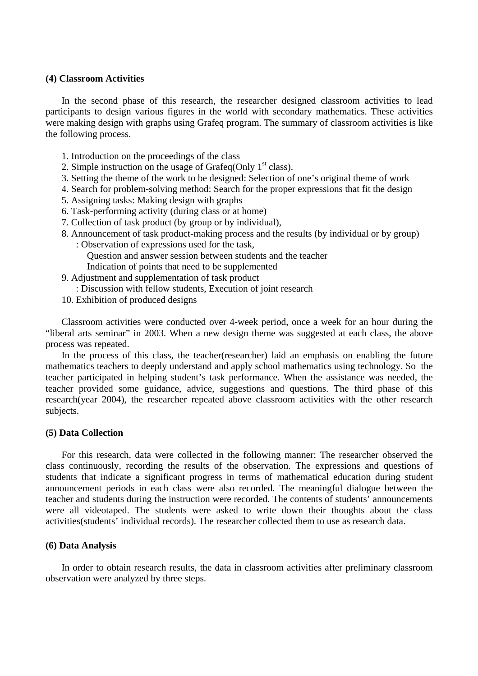#### **(4) Classroom Activities**

In the second phase of this research, the researcher designed classroom activities to lead participants to design various figures in the world with secondary mathematics. These activities were making design with graphs using Grafeq program. The summary of classroom activities is like the following process.

- 1. Introduction on the proceedings of the class
- 2. Simple instruction on the usage of Grafeq(Only  $1<sup>st</sup>$  class).
- 3. Setting the theme of the work to be designed: Selection of one's original theme of work
- 4. Search for problem-solving method: Search for the proper expressions that fit the design
- 5. Assigning tasks: Making design with graphs
- 6. Task-performing activity (during class or at home)
- 7. Collection of task product (by group or by individual),
- 8. Announcement of task product-making process and the results (by individual or by group)
	- : Observation of expressions used for the task, Question and answer session between students and the teacher Indication of points that need to be supplemented
- 9. Adjustment and supplementation of task product
	- : Discussion with fellow students, Execution of joint research
- 10. Exhibition of produced designs

Classroom activities were conducted over 4-week period, once a week for an hour during the "liberal arts seminar" in 2003. When a new design theme was suggested at each class, the above process was repeated.

In the process of this class, the teacher(researcher) laid an emphasis on enabling the future mathematics teachers to deeply understand and apply school mathematics using technology. So the teacher participated in helping student's task performance. When the assistance was needed, the teacher provided some guidance, advice, suggestions and questions. The third phase of this research(year 2004), the researcher repeated above classroom activities with the other research subjects.

## **(5) Data Collection**

For this research, data were collected in the following manner: The researcher observed the class continuously, recording the results of the observation. The expressions and questions of students that indicate a significant progress in terms of mathematical education during student announcement periods in each class were also recorded. The meaningful dialogue between the teacher and students during the instruction were recorded. The contents of students' announcements were all videotaped. The students were asked to write down their thoughts about the class activities(students' individual records). The researcher collected them to use as research data.

## **(6) Data Analysis**

In order to obtain research results, the data in classroom activities after preliminary classroom observation were analyzed by three steps.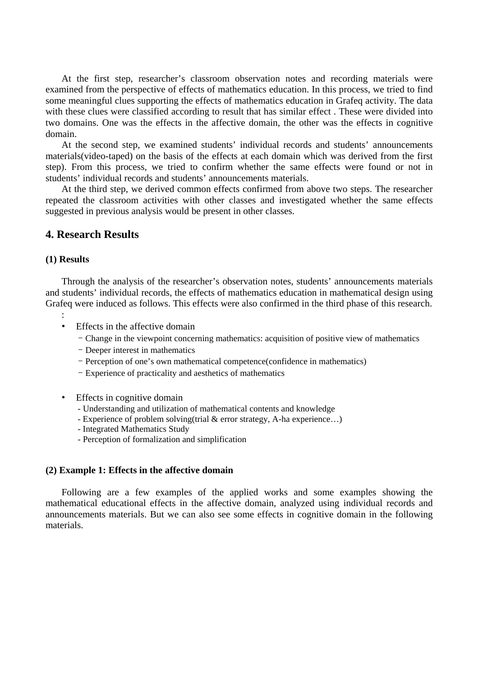At the first step, researcher's classroom observation notes and recording materials were examined from the perspective of effects of mathematics education. In this process, we tried to find some meaningful clues supporting the effects of mathematics education in Grafeq activity. The data with these clues were classified according to result that has similar effect . These were divided into two domains. One was the effects in the affective domain, the other was the effects in cognitive domain.

At the second step, we examined students' individual records and students' announcements materials(video-taped) on the basis of the effects at each domain which was derived from the first step). From this process, we tried to confirm whether the same effects were found or not in students' individual records and students' announcements materials.

At the third step, we derived common effects confirmed from above two steps. The researcher repeated the classroom activities with other classes and investigated whether the same effects suggested in previous analysis would be present in other classes.

## **4. Research Results**

#### **(1) Results**

Through the analysis of the researcher's observation notes, students' announcements materials and students' individual records, the effects of mathematics education in mathematical design using Grafeq were induced as follows. This effects were also confirmed in the third phase of this research.

- :
- Effects in the affective domain
	- Change in the viewpoint concerning mathematics: acquisition of positive view of mathematics
	- Deeper interest in mathematics
	- Perception of one's own mathematical competence(confidence in mathematics)
	- Experience of practicality and aesthetics of mathematics
- Effects in cognitive domain
	- Understanding and utilization of mathematical contents and knowledge
	- Experience of problem solving(trial & error strategy, A-ha experience…)
	- Integrated Mathematics Study
	- Perception of formalization and simplification

## **(2) Example 1: Effects in the affective domain**

Following are a few examples of the applied works and some examples showing the mathematical educational effects in the affective domain, analyzed using individual records and announcements materials. But we can also see some effects in cognitive domain in the following materials.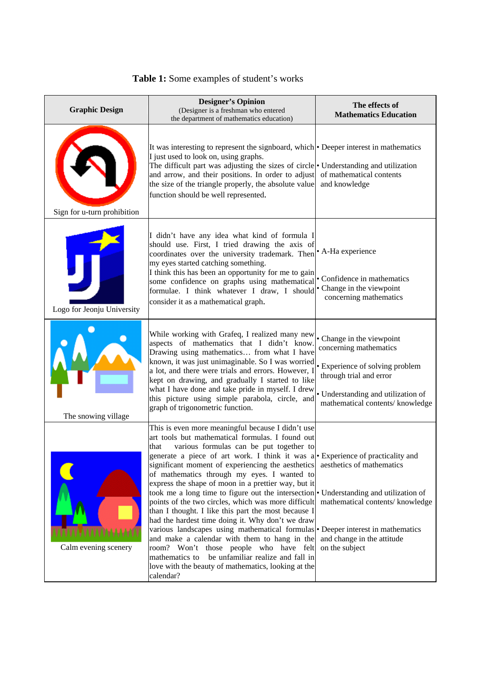| <b>Graphic Design</b>       | <b>Designer's Opinion</b><br>(Designer is a freshman who entered<br>the department of mathematics education)                                                                                                                                                                                                                                                                                                                                                                                                                                                                                                                                                                                                                                                                                                                                                                                                                                                           | The effects of<br><b>Mathematics Education</b>                                                                                                                                              |
|-----------------------------|------------------------------------------------------------------------------------------------------------------------------------------------------------------------------------------------------------------------------------------------------------------------------------------------------------------------------------------------------------------------------------------------------------------------------------------------------------------------------------------------------------------------------------------------------------------------------------------------------------------------------------------------------------------------------------------------------------------------------------------------------------------------------------------------------------------------------------------------------------------------------------------------------------------------------------------------------------------------|---------------------------------------------------------------------------------------------------------------------------------------------------------------------------------------------|
| Sign for u-turn prohibition | It was interesting to represent the signboard, which • Deeper interest in mathematics<br>I just used to look on, using graphs.<br>The difficult part was adjusting the sizes of circle $\bullet$ Understanding and utilization<br>and arrow, and their positions. In order to adjust<br>the size of the triangle properly, the absolute value<br>function should be well represented.                                                                                                                                                                                                                                                                                                                                                                                                                                                                                                                                                                                  | of mathematical contents<br>and knowledge                                                                                                                                                   |
| Logo for Jeonju University  | I didn't have any idea what kind of formula I<br>should use. First, I tried drawing the axis of<br>coordinates over the university trademark. Then<br>my eyes started catching something.<br>I think this has been an opportunity for me to gain<br>some confidence on graphs using mathematical<br>formulae. I think whatever I draw, I should<br>consider it as a mathematical graph.                                                                                                                                                                                                                                                                                                                                                                                                                                                                                                                                                                                | • A-Ha experience<br>• Confidence in mathematics<br>• Change in the viewpoint<br>concerning mathematics                                                                                     |
| The snowing village         | While working with Grafeq, I realized many new<br>aspects of mathematics that I didn't know.<br>Drawing using mathematics from what I have<br>known, it was just unimaginable. So I was worried<br>a lot, and there were trials and errors. However, l<br>kept on drawing, and gradually I started to like<br>what I have done and take pride in myself. I drew<br>this picture using simple parabola, circle, and<br>graph of trigonometric function.                                                                                                                                                                                                                                                                                                                                                                                                                                                                                                                 | • Change in the viewpoint<br>concerning mathematics<br>• Experience of solving problem<br>through trial and error<br>· Understanding and utilization of<br>mathematical contents/ knowledge |
| Calm evening scenery        | This is even more meaningful because I didn't use<br>art tools but mathematical formulas. I found out<br>that<br>various formulas can be put together to<br>generate a piece of art work. I think it was a • Experience of practicality and<br>significant moment of experiencing the aesthetics<br>of mathematics through my eyes. I wanted to<br>express the shape of moon in a prettier way, but it<br>took me a long time to figure out the intersection • Understanding and utilization of<br>points of the two circles, which was more difficult<br>than I thought. I like this part the most because I<br>had the hardest time doing it. Why don't we draw<br>various landscapes using mathematical formulas • Deeper interest in mathematics<br>and make a calendar with them to hang in the<br>room? Won't those people who have felt<br>mathematics to be unfamiliar realize and fall in<br>love with the beauty of mathematics, looking at the<br>calendar? | aesthetics of mathematics<br>mathematical contents/knowledge<br>and change in the attitude<br>on the subject                                                                                |

## **Table 1:** Some examples of student's works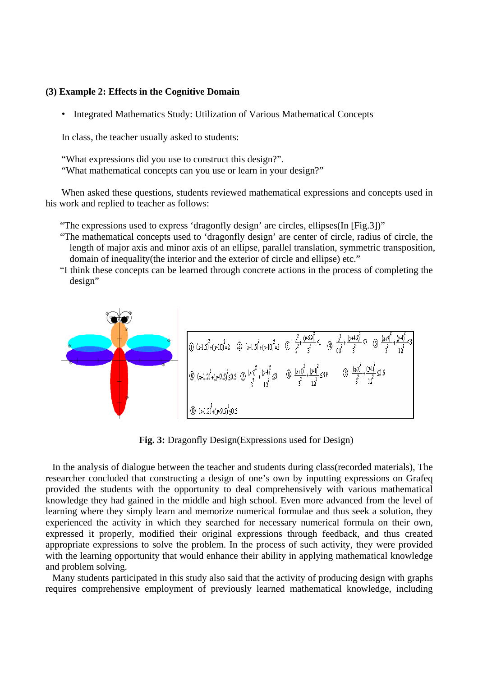#### **(3) Example 2: Effects in the Cognitive Domain**

• Integrated Mathematics Study: Utilization of Various Mathematical Concepts

In class, the teacher usually asked to students:

"What expressions did you use to construct this design?". "What mathematical concepts can you use or learn in your design?"

When asked these questions, students reviewed mathematical expressions and concepts used in his work and replied to teacher as follows:

"The expressions used to express 'dragonfly design' are circles, ellipses(In [Fig.3])"

- "The mathematical concepts used to 'dragonfly design' are center of circle, radius of circle, the length of major axis and minor axis of an ellipse, parallel translation, symmetric transposition, domain of inequality(the interior and the exterior of circle and ellipse) etc."
- "I think these concepts can be learned through concrete actions in the process of completing the design"



**Fig. 3:** Dragonfly Design(Expressions used for Design)

In the analysis of dialogue between the teacher and students during class(recorded materials), The researcher concluded that constructing a design of one's own by inputting expressions on Grafeq provided the students with the opportunity to deal comprehensively with various mathematical knowledge they had gained in the middle and high school. Even more advanced from the level of learning where they simply learn and memorize numerical formulae and thus seek a solution, they experienced the activity in which they searched for necessary numerical formula on their own, expressed it properly, modified their original expressions through feedback, and thus created appropriate expressions to solve the problem. In the process of such activity, they were provided with the learning opportunity that would enhance their ability in applying mathematical knowledge and problem solving.

Many students participated in this study also said that the activity of producing design with graphs requires comprehensive employment of previously learned mathematical knowledge, including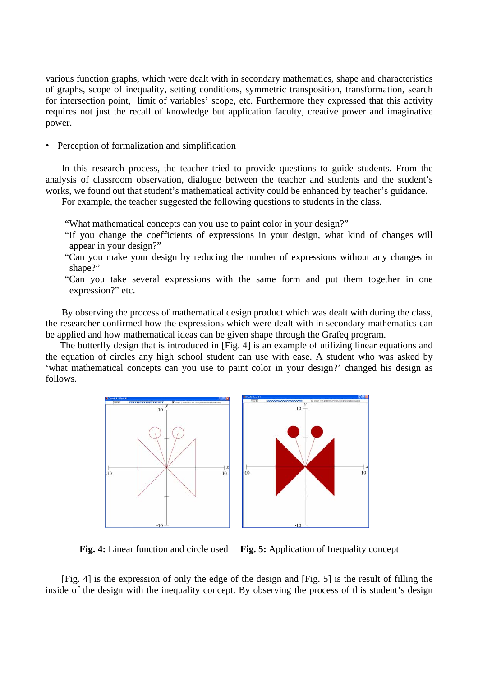various function graphs, which were dealt with in secondary mathematics, shape and characteristics of graphs, scope of inequality, setting conditions, symmetric transposition, transformation, search for intersection point, limit of variables' scope, etc. Furthermore they expressed that this activity requires not just the recall of knowledge but application faculty, creative power and imaginative power.

• Perception of formalization and simplification

In this research process, the teacher tried to provide questions to guide students. From the analysis of classroom observation, dialogue between the teacher and students and the student's works, we found out that student's mathematical activity could be enhanced by teacher's guidance.

For example, the teacher suggested the following questions to students in the class.

- "What mathematical concepts can you use to paint color in your design?"
- "If you change the coefficients of expressions in your design, what kind of changes will appear in your design?"
- "Can you make your design by reducing the number of expressions without any changes in shape?"
- "Can you take several expressions with the same form and put them together in one expression?" etc.

By observing the process of mathematical design product which was dealt with during the class, the researcher confirmed how the expressions which were dealt with in secondary mathematics can be applied and how mathematical ideas can be given shape through the Grafeq program.

The butterfly design that is introduced in [Fig. 4] is an example of utilizing linear equations and the equation of circles any high school student can use with ease. A student who was asked by 'what mathematical concepts can you use to paint color in your design?' changed his design as follows.





**Fig. 4:** Linear function and circle used **Fig. 5:** Application of Inequality concept

[Fig. 4] is the expression of only the edge of the design and [Fig. 5] is the result of filling the inside of the design with the inequality concept. By observing the process of this student's design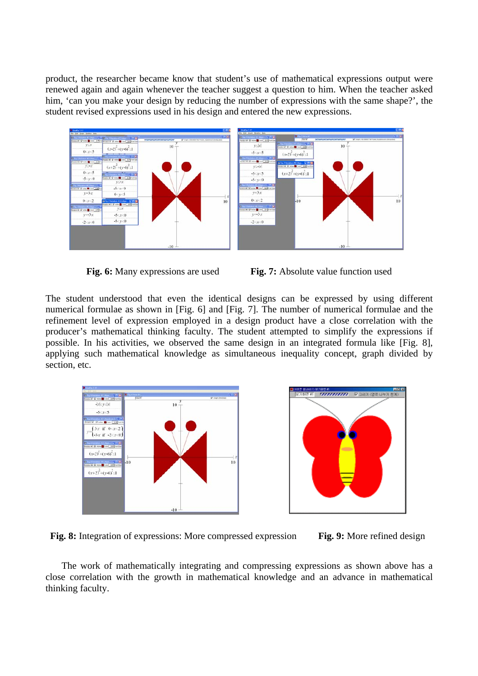product, the researcher became know that student's use of mathematical expressions output were renewed again and again whenever the teacher suggest a question to him. When the teacher asked him, 'can you make your design by reducing the number of expressions with the same shape?', the student revised expressions used in his design and entered the new expressions.







The student understood that even the identical designs can be expressed by using different numerical formulae as shown in [Fig. 6] and [Fig. 7]. The number of numerical formulae and the refinement level of expression employed in a design product have a close correlation with the producer's mathematical thinking faculty. The student attempted to simplify the expressions if possible. In his activities, we observed the same design in an integrated formula like [Fig. 8], applying such mathematical knowledge as simultaneous inequality concept, graph divided by section, etc.





Fig. 8: Integration of expressions: More compressed expression Fig. 9: More refined design



The work of mathematically integrating and compressing expressions as shown above has a close correlation with the growth in mathematical knowledge and an advance in mathematical thinking faculty.